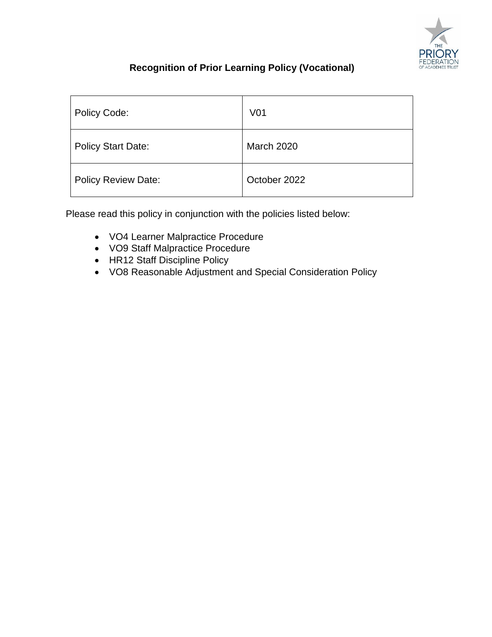

# **Recognition of Prior Learning Policy (Vocational)**

| Policy Code:               | V <sub>01</sub>   |
|----------------------------|-------------------|
| <b>Policy Start Date:</b>  | <b>March 2020</b> |
| <b>Policy Review Date:</b> | October 2022      |

Please read this policy in conjunction with the policies listed below:

- VO4 Learner Malpractice Procedure
- VO9 Staff Malpractice Procedure
- HR12 Staff Discipline Policy
- VO8 Reasonable Adjustment and Special Consideration Policy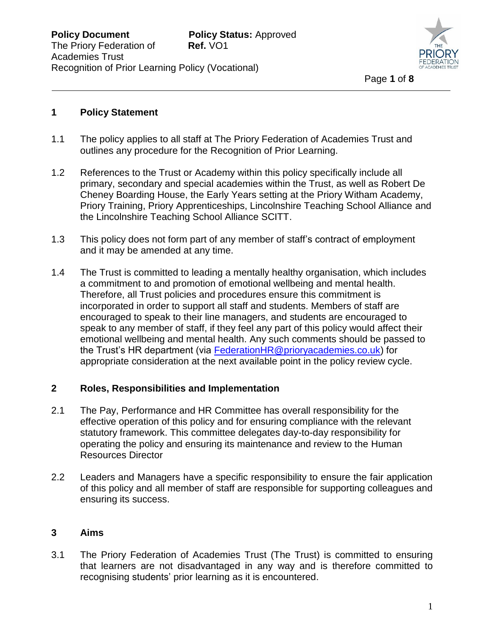

#### **1 Policy Statement**

- 1.1 The policy applies to all staff at The Priory Federation of Academies Trust and outlines any procedure for the Recognition of Prior Learning.
- 1.2 References to the Trust or Academy within this policy specifically include all primary, secondary and special academies within the Trust, as well as Robert De Cheney Boarding House, the Early Years setting at the Priory Witham Academy, Priory Training, Priory Apprenticeships, Lincolnshire Teaching School Alliance and the Lincolnshire Teaching School Alliance SCITT.
- 1.3 This policy does not form part of any member of staff's contract of employment and it may be amended at any time.
- 1.4 The Trust is committed to leading a mentally healthy organisation, which includes a commitment to and promotion of emotional wellbeing and mental health. Therefore, all Trust policies and procedures ensure this commitment is incorporated in order to support all staff and students. Members of staff are encouraged to speak to their line managers, and students are encouraged to speak to any member of staff, if they feel any part of this policy would affect their emotional wellbeing and mental health. Any such comments should be passed to the Trust's HR department (via [FederationHR@prioryacademies.co.uk\)](mailto:FederationHR@prioryacademies.co.uk) for appropriate consideration at the next available point in the policy review cycle.

#### **2 Roles, Responsibilities and Implementation**

- 2.1 The Pay, Performance and HR Committee has overall responsibility for the effective operation of this policy and for ensuring compliance with the relevant statutory framework. This committee delegates day-to-day responsibility for operating the policy and ensuring its maintenance and review to the Human Resources Director
- 2.2 Leaders and Managers have a specific responsibility to ensure the fair application of this policy and all member of staff are responsible for supporting colleagues and ensuring its success.

# **3 Aims**

3.1 The Priory Federation of Academies Trust (The Trust) is committed to ensuring that learners are not disadvantaged in any way and is therefore committed to recognising students' prior learning as it is encountered.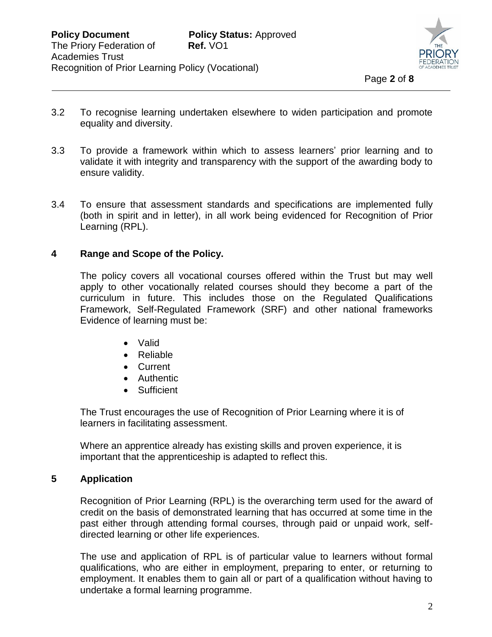

- 3.2 To recognise learning undertaken elsewhere to widen participation and promote equality and diversity.
- 3.3 To provide a framework within which to assess learners' prior learning and to validate it with integrity and transparency with the support of the awarding body to ensure validity.
- 3.4 To ensure that assessment standards and specifications are implemented fully (both in spirit and in letter), in all work being evidenced for Recognition of Prior Learning (RPL).

#### **4 Range and Scope of the Policy.**

The policy covers all vocational courses offered within the Trust but may well apply to other vocationally related courses should they become a part of the curriculum in future. This includes those on the Regulated Qualifications Framework, Self-Regulated Framework (SRF) and other national frameworks Evidence of learning must be:

- Valid
- Reliable
- Current
- Authentic
- Sufficient

The Trust encourages the use of Recognition of Prior Learning where it is of learners in facilitating assessment.

Where an apprentice already has existing skills and proven experience, it is important that the apprenticeship is adapted to reflect this.

#### **5 Application**

Recognition of Prior Learning (RPL) is the overarching term used for the award of credit on the basis of demonstrated learning that has occurred at some time in the past either through attending formal courses, through paid or unpaid work, selfdirected learning or other life experiences.

The use and application of RPL is of particular value to learners without formal qualifications, who are either in employment, preparing to enter, or returning to employment. It enables them to gain all or part of a qualification without having to undertake a formal learning programme.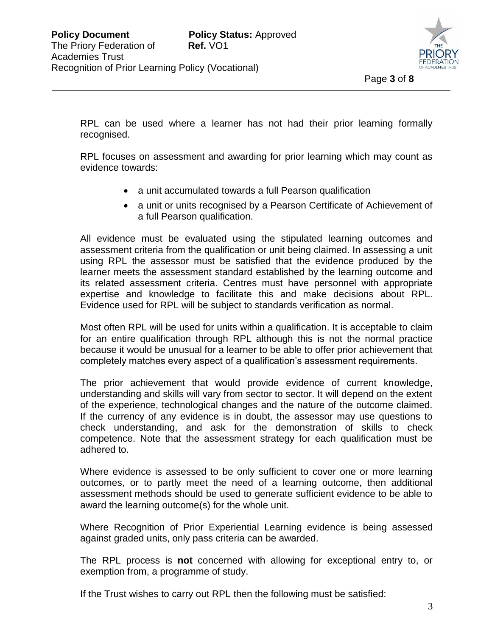

RPL can be used where a learner has not had their prior learning formally recognised.

RPL focuses on assessment and awarding for prior learning which may count as evidence towards:

- a unit accumulated towards a full Pearson qualification
- a unit or units recognised by a Pearson Certificate of Achievement of a full Pearson qualification.

All evidence must be evaluated using the stipulated learning outcomes and assessment criteria from the qualification or unit being claimed. In assessing a unit using RPL the assessor must be satisfied that the evidence produced by the learner meets the assessment standard established by the learning outcome and its related assessment criteria. Centres must have personnel with appropriate expertise and knowledge to facilitate this and make decisions about RPL. Evidence used for RPL will be subject to standards verification as normal.

Most often RPL will be used for units within a qualification. It is acceptable to claim for an entire qualification through RPL although this is not the normal practice because it would be unusual for a learner to be able to offer prior achievement that completely matches every aspect of a qualification's assessment requirements.

The prior achievement that would provide evidence of current knowledge, understanding and skills will vary from sector to sector. It will depend on the extent of the experience, technological changes and the nature of the outcome claimed. If the currency of any evidence is in doubt, the assessor may use questions to check understanding, and ask for the demonstration of skills to check competence. Note that the assessment strategy for each qualification must be adhered to.

Where evidence is assessed to be only sufficient to cover one or more learning outcomes, or to partly meet the need of a learning outcome, then additional assessment methods should be used to generate sufficient evidence to be able to award the learning outcome(s) for the whole unit.

Where Recognition of Prior Experiential Learning evidence is being assessed against graded units, only pass criteria can be awarded.

The RPL process is **not** concerned with allowing for exceptional entry to, or exemption from, a programme of study.

If the Trust wishes to carry out RPL then the following must be satisfied: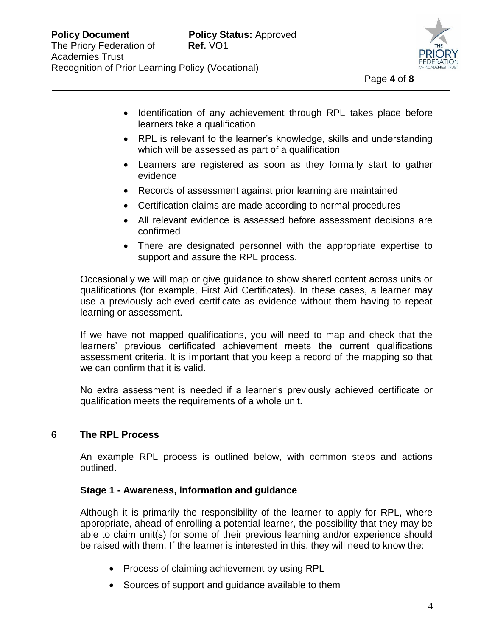

- Identification of any achievement through RPL takes place before learners take a qualification
- RPL is relevant to the learner's knowledge, skills and understanding which will be assessed as part of a qualification
- Learners are registered as soon as they formally start to gather evidence
- Records of assessment against prior learning are maintained
- Certification claims are made according to normal procedures
- All relevant evidence is assessed before assessment decisions are confirmed
- There are designated personnel with the appropriate expertise to support and assure the RPL process.

Occasionally we will map or give guidance to show shared content across units or qualifications (for example, First Aid Certificates). In these cases, a learner may use a previously achieved certificate as evidence without them having to repeat learning or assessment.

If we have not mapped qualifications, you will need to map and check that the learners' previous certificated achievement meets the current qualifications assessment criteria. It is important that you keep a record of the mapping so that we can confirm that it is valid.

No extra assessment is needed if a learner's previously achieved certificate or qualification meets the requirements of a whole unit.

# **6 The RPL Process**

An example RPL process is outlined below, with common steps and actions outlined.

# **Stage 1 - Awareness, information and guidance**

Although it is primarily the responsibility of the learner to apply for RPL, where appropriate, ahead of enrolling a potential learner, the possibility that they may be able to claim unit(s) for some of their previous learning and/or experience should be raised with them. If the learner is interested in this, they will need to know the:

- Process of claiming achievement by using RPL
- Sources of support and quidance available to them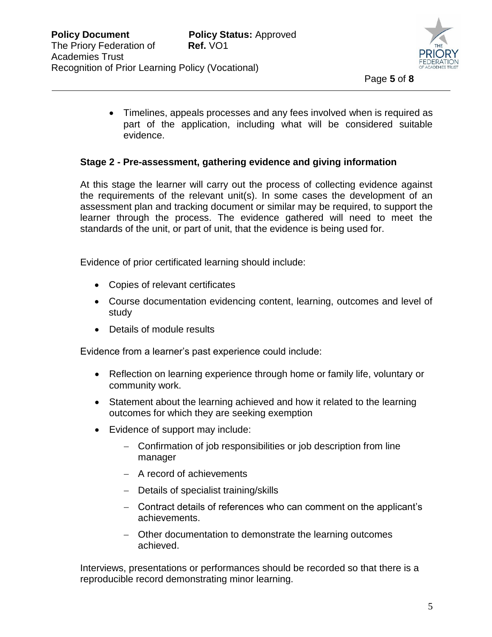

 Timelines, appeals processes and any fees involved when is required as part of the application, including what will be considered suitable evidence.

#### **Stage 2 - Pre-assessment, gathering evidence and giving information**

At this stage the learner will carry out the process of collecting evidence against the requirements of the relevant unit(s). In some cases the development of an assessment plan and tracking document or similar may be required, to support the learner through the process. The evidence gathered will need to meet the standards of the unit, or part of unit, that the evidence is being used for.

Evidence of prior certificated learning should include:

- Copies of relevant certificates
- Course documentation evidencing content, learning, outcomes and level of study
- Details of module results

Evidence from a learner's past experience could include:

- Reflection on learning experience through home or family life, voluntary or community work.
- Statement about the learning achieved and how it related to the learning outcomes for which they are seeking exemption
- Evidence of support may include:
	- Confirmation of job responsibilities or job description from line manager
	- A record of achievements
	- Details of specialist training/skills
	- Contract details of references who can comment on the applicant's achievements.
	- Other documentation to demonstrate the learning outcomes achieved.

Interviews, presentations or performances should be recorded so that there is a reproducible record demonstrating minor learning.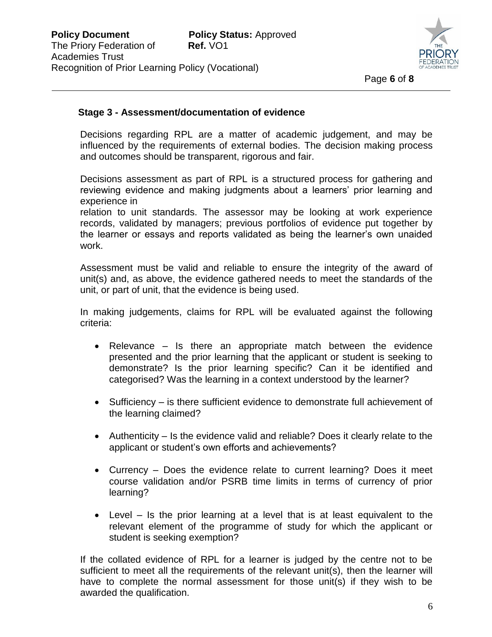

#### **Stage 3 - Assessment/documentation of evidence**

Decisions regarding RPL are a matter of academic judgement, and may be influenced by the requirements of external bodies. The decision making process and outcomes should be transparent, rigorous and fair.

Decisions assessment as part of RPL is a structured process for gathering and reviewing evidence and making judgments about a learners' prior learning and experience in

relation to unit standards. The assessor may be looking at work experience records, validated by managers; previous portfolios of evidence put together by the learner or essays and reports validated as being the learner's own unaided work.

Assessment must be valid and reliable to ensure the integrity of the award of unit(s) and, as above, the evidence gathered needs to meet the standards of the unit, or part of unit, that the evidence is being used.

In making judgements, claims for RPL will be evaluated against the following criteria:

- Relevance  $-$  Is there an appropriate match between the evidence presented and the prior learning that the applicant or student is seeking to demonstrate? Is the prior learning specific? Can it be identified and categorised? Was the learning in a context understood by the learner?
- Sufficiency is there sufficient evidence to demonstrate full achievement of the learning claimed?
- Authenticity Is the evidence valid and reliable? Does it clearly relate to the applicant or student's own efforts and achievements?
- Currency Does the evidence relate to current learning? Does it meet course validation and/or PSRB time limits in terms of currency of prior learning?
- Level Is the prior learning at a level that is at least equivalent to the relevant element of the programme of study for which the applicant or student is seeking exemption?

If the collated evidence of RPL for a learner is judged by the centre not to be sufficient to meet all the requirements of the relevant unit(s), then the learner will have to complete the normal assessment for those unit(s) if they wish to be awarded the qualification.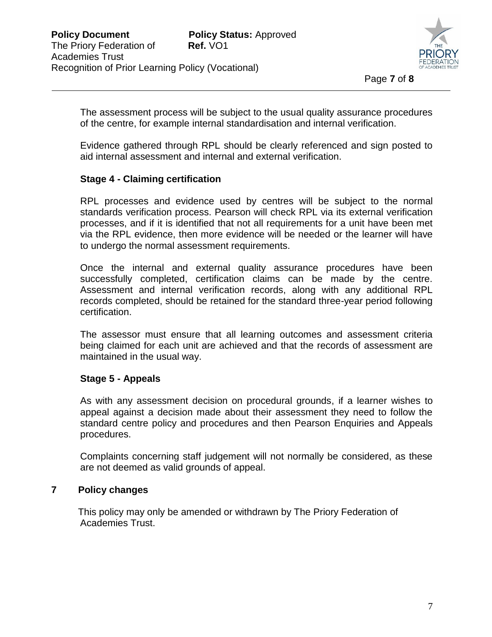

The assessment process will be subject to the usual quality assurance procedures of the centre, for example internal standardisation and internal verification.

Evidence gathered through RPL should be clearly referenced and sign posted to aid internal assessment and internal and external verification.

# **Stage 4 - Claiming certification**

RPL processes and evidence used by centres will be subject to the normal standards verification process. Pearson will check RPL via its external verification processes, and if it is identified that not all requirements for a unit have been met via the RPL evidence, then more evidence will be needed or the learner will have to undergo the normal assessment requirements.

Once the internal and external quality assurance procedures have been successfully completed, certification claims can be made by the centre. Assessment and internal verification records, along with any additional RPL records completed, should be retained for the standard three-year period following certification.

The assessor must ensure that all learning outcomes and assessment criteria being claimed for each unit are achieved and that the records of assessment are maintained in the usual way.

# **Stage 5 - Appeals**

As with any assessment decision on procedural grounds, if a learner wishes to appeal against a decision made about their assessment they need to follow the standard centre policy and procedures and then Pearson Enquiries and Appeals procedures.

Complaints concerning staff judgement will not normally be considered, as these are not deemed as valid grounds of appeal.

# **7 Policy changes**

 This policy may only be amended or withdrawn by The Priory Federation of Academies Trust.